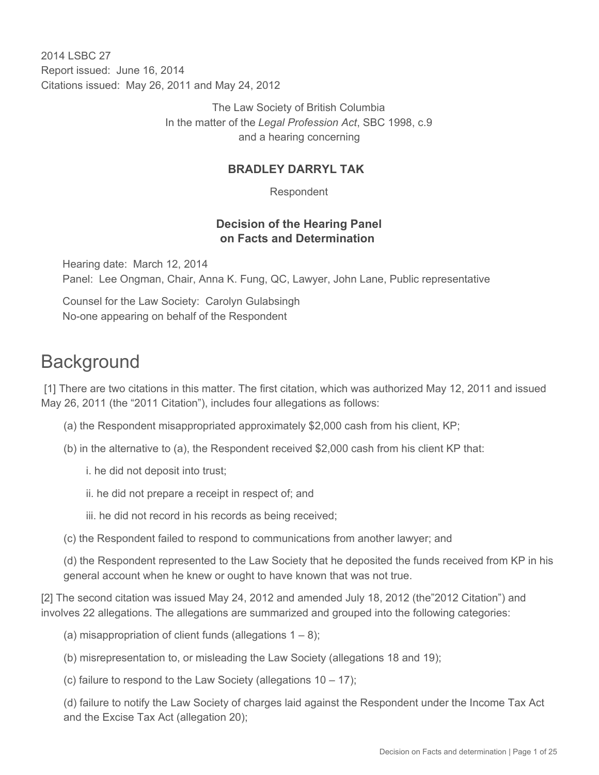2014 I SBC 27 Report issued: June 16, 2014 Citations issued: May 26, 2011 and May 24, 2012

> The Law Society of British Columbia In the matter of the *Legal Profession Act*, SBC 1998, c.9 and a hearing concerning

#### **BRADLEY DARRYL TAK**

Respondent

#### **Decision of the Hearing Panel on Facts and Determination**

Hearing date: March 12, 2014 Panel: Lee Ongman, Chair, Anna K. Fung, QC, Lawyer, John Lane, Public representative

Counsel for the Law Society: Carolyn Gulabsingh No-one appearing on behalf of the Respondent

# **Background**

 [1] There are two citations in this matter. The first citation, which was authorized May 12, 2011 and issued May 26, 2011 (the "2011 Citation"), includes four allegations as follows:

- (a) the Respondent misappropriated approximately \$2,000 cash from his client, KP;
- (b) in the alternative to (a), the Respondent received \$2,000 cash from his client KP that:
	- i. he did not deposit into trust;
	- ii. he did not prepare a receipt in respect of; and
	- iii. he did not record in his records as being received;
- (c) the Respondent failed to respond to communications from another lawyer; and

(d) the Respondent represented to the Law Society that he deposited the funds received from KP in his general account when he knew or ought to have known that was not true.

[2] The second citation was issued May 24, 2012 and amended July 18, 2012 (the"2012 Citation") and involves 22 allegations. The allegations are summarized and grouped into the following categories:

- (a) misappropriation of client funds (allegations  $1 8$ );
- (b) misrepresentation to, or misleading the Law Society (allegations 18 and 19);
- (c) failure to respond to the Law Society (allegations  $10 17$ );

(d) failure to notify the Law Society of charges laid against the Respondent under the Income Tax Act and the Excise Tax Act (allegation 20);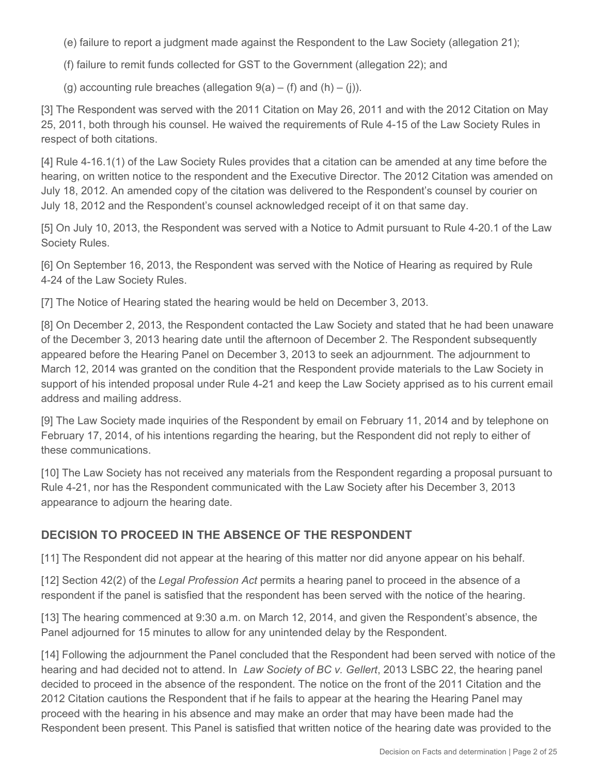(e) failure to report a judgment made against the Respondent to the Law Society (allegation 21);

(f) failure to remit funds collected for GST to the Government (allegation 22); and

(g) accounting rule breaches (allegation  $9(a) - (f)$  and  $(h) - (i)$ ).

[3] The Respondent was served with the 2011 Citation on May 26, 2011 and with the 2012 Citation on May 25, 2011, both through his counsel. He waived the requirements of Rule 4-15 of the Law Society Rules in respect of both citations.

[4] Rule 4-16.1(1) of the Law Society Rules provides that a citation can be amended at any time before the hearing, on written notice to the respondent and the Executive Director. The 2012 Citation was amended on July 18, 2012. An amended copy of the citation was delivered to the Respondent's counsel by courier on July 18, 2012 and the Respondent's counsel acknowledged receipt of it on that same day.

[5] On July 10, 2013, the Respondent was served with a Notice to Admit pursuant to Rule 4-20.1 of the Law Society Rules.

[6] On September 16, 2013, the Respondent was served with the Notice of Hearing as required by Rule 4-24 of the Law Society Rules.

[7] The Notice of Hearing stated the hearing would be held on December 3, 2013.

[8] On December 2, 2013, the Respondent contacted the Law Society and stated that he had been unaware of the December 3, 2013 hearing date until the afternoon of December 2. The Respondent subsequently appeared before the Hearing Panel on December 3, 2013 to seek an adjournment. The adjournment to March 12, 2014 was granted on the condition that the Respondent provide materials to the Law Society in support of his intended proposal under Rule 4-21 and keep the Law Society apprised as to his current email address and mailing address.

[9] The Law Society made inquiries of the Respondent by email on February 11, 2014 and by telephone on February 17, 2014, of his intentions regarding the hearing, but the Respondent did not reply to either of these communications.

[10] The Law Society has not received any materials from the Respondent regarding a proposal pursuant to Rule 4-21, nor has the Respondent communicated with the Law Society after his December 3, 2013 appearance to adjourn the hearing date.

## **DECISION TO PROCEED IN THE ABSENCE OF THE RESPONDENT**

[11] The Respondent did not appear at the hearing of this matter nor did anyone appear on his behalf.

[12] Section 42(2) of the *Legal Profession Act* permits a hearing panel to proceed in the absence of a respondent if the panel is satisfied that the respondent has been served with the notice of the hearing.

[13] The hearing commenced at 9:30 a.m. on March 12, 2014, and given the Respondent's absence, the Panel adjourned for 15 minutes to allow for any unintended delay by the Respondent.

[14] Following the adjournment the Panel concluded that the Respondent had been served with notice of the hearing and had decided not to attend. In *Law Society of BC v. Gellert*, 2013 LSBC 22, the hearing panel decided to proceed in the absence of the respondent. The notice on the front of the 2011 Citation and the 2012 Citation cautions the Respondent that if he fails to appear at the hearing the Hearing Panel may proceed with the hearing in his absence and may make an order that may have been made had the Respondent been present. This Panel is satisfied that written notice of the hearing date was provided to the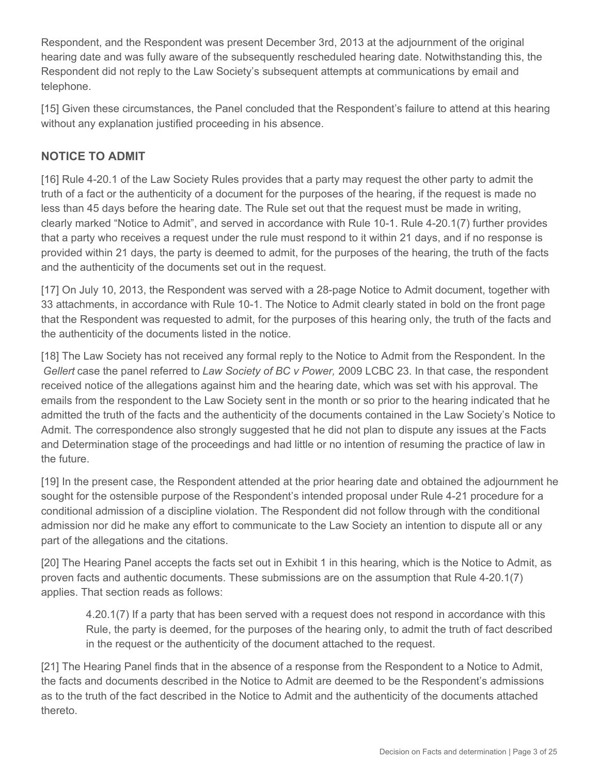Respondent, and the Respondent was present December 3rd, 2013 at the adjournment of the original hearing date and was fully aware of the subsequently rescheduled hearing date. Notwithstanding this, the Respondent did not reply to the Law Society's subsequent attempts at communications by email and telephone.

[15] Given these circumstances, the Panel concluded that the Respondent's failure to attend at this hearing without any explanation justified proceeding in his absence.

## **NOTICE TO ADMIT**

[16] Rule 4-20.1 of the Law Society Rules provides that a party may request the other party to admit the truth of a fact or the authenticity of a document for the purposes of the hearing, if the request is made no less than 45 days before the hearing date. The Rule set out that the request must be made in writing, clearly marked "Notice to Admit", and served in accordance with Rule 10-1. Rule 4-20.1(7) further provides that a party who receives a request under the rule must respond to it within 21 days, and if no response is provided within 21 days, the party is deemed to admit, for the purposes of the hearing, the truth of the facts and the authenticity of the documents set out in the request.

[17] On July 10, 2013, the Respondent was served with a 28-page Notice to Admit document, together with 33 attachments, in accordance with Rule 10-1. The Notice to Admit clearly stated in bold on the front page that the Respondent was requested to admit, for the purposes of this hearing only, the truth of the facts and the authenticity of the documents listed in the notice.

[18] The Law Society has not received any formal reply to the Notice to Admit from the Respondent. In the *Gellert* case the panel referred to *Law Society of BC v Power,* 2009 LCBC 23. In that case, the respondent received notice of the allegations against him and the hearing date, which was set with his approval. The emails from the respondent to the Law Society sent in the month or so prior to the hearing indicated that he admitted the truth of the facts and the authenticity of the documents contained in the Law Society's Notice to Admit. The correspondence also strongly suggested that he did not plan to dispute any issues at the Facts and Determination stage of the proceedings and had little or no intention of resuming the practice of law in the future.

[19] In the present case, the Respondent attended at the prior hearing date and obtained the adjournment he sought for the ostensible purpose of the Respondent's intended proposal under Rule 4-21 procedure for a conditional admission of a discipline violation. The Respondent did not follow through with the conditional admission nor did he make any effort to communicate to the Law Society an intention to dispute all or any part of the allegations and the citations.

[20] The Hearing Panel accepts the facts set out in Exhibit 1 in this hearing, which is the Notice to Admit, as proven facts and authentic documents. These submissions are on the assumption that Rule 4-20.1(7) applies. That section reads as follows:

4.20.1(7) If a party that has been served with a request does not respond in accordance with this Rule, the party is deemed, for the purposes of the hearing only, to admit the truth of fact described in the request or the authenticity of the document attached to the request.

[21] The Hearing Panel finds that in the absence of a response from the Respondent to a Notice to Admit, the facts and documents described in the Notice to Admit are deemed to be the Respondent's admissions as to the truth of the fact described in the Notice to Admit and the authenticity of the documents attached thereto.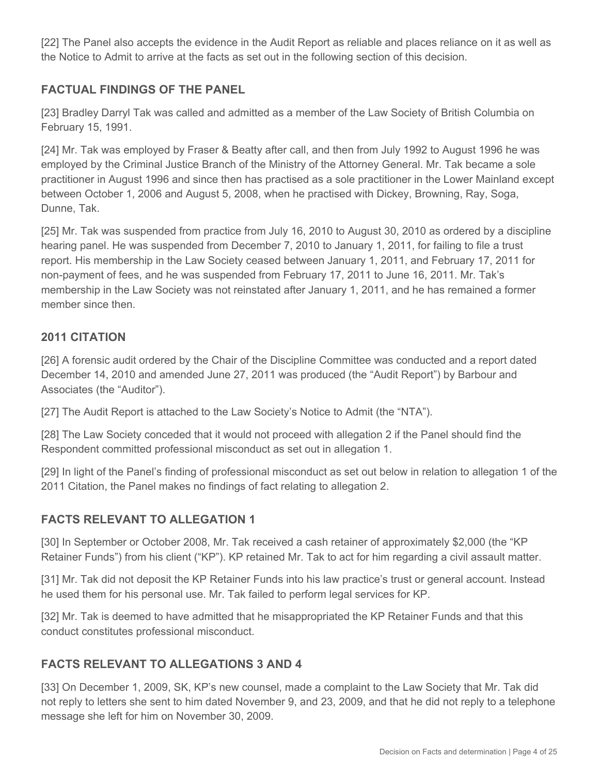[22] The Panel also accepts the evidence in the Audit Report as reliable and places reliance on it as well as the Notice to Admit to arrive at the facts as set out in the following section of this decision.

## **FACTUAL FINDINGS OF THE PANEL**

[23] Bradley Darryl Tak was called and admitted as a member of the Law Society of British Columbia on February 15, 1991.

[24] Mr. Tak was employed by Fraser & Beatty after call, and then from July 1992 to August 1996 he was employed by the Criminal Justice Branch of the Ministry of the Attorney General. Mr. Tak became a sole practitioner in August 1996 and since then has practised as a sole practitioner in the Lower Mainland except between October 1, 2006 and August 5, 2008, when he practised with Dickey, Browning, Ray, Soga, Dunne, Tak.

[25] Mr. Tak was suspended from practice from July 16, 2010 to August 30, 2010 as ordered by a discipline hearing panel. He was suspended from December 7, 2010 to January 1, 2011, for failing to file a trust report. His membership in the Law Society ceased between January 1, 2011, and February 17, 2011 for non-payment of fees, and he was suspended from February 17, 2011 to June 16, 2011. Mr. Tak's membership in the Law Society was not reinstated after January 1, 2011, and he has remained a former member since then.

#### **2011 CITATION**

[26] A forensic audit ordered by the Chair of the Discipline Committee was conducted and a report dated December 14, 2010 and amended June 27, 2011 was produced (the "Audit Report") by Barbour and Associates (the "Auditor").

[27] The Audit Report is attached to the Law Society's Notice to Admit (the "NTA").

[28] The Law Society conceded that it would not proceed with allegation 2 if the Panel should find the Respondent committed professional misconduct as set out in allegation 1.

[29] In light of the Panel's finding of professional misconduct as set out below in relation to allegation 1 of the 2011 Citation, the Panel makes no findings of fact relating to allegation 2.

#### **FACTS RELEVANT TO ALLEGATION 1**

[30] In September or October 2008, Mr. Tak received a cash retainer of approximately \$2,000 (the "KP Retainer Funds") from his client ("KP"). KP retained Mr. Tak to act for him regarding a civil assault matter.

[31] Mr. Tak did not deposit the KP Retainer Funds into his law practice's trust or general account. Instead he used them for his personal use. Mr. Tak failed to perform legal services for KP.

[32] Mr. Tak is deemed to have admitted that he misappropriated the KP Retainer Funds and that this conduct constitutes professional misconduct.

#### **FACTS RELEVANT TO ALLEGATIONS 3 AND 4**

[33] On December 1, 2009, SK, KP's new counsel, made a complaint to the Law Society that Mr. Tak did not reply to letters she sent to him dated November 9, and 23, 2009, and that he did not reply to a telephone message she left for him on November 30, 2009.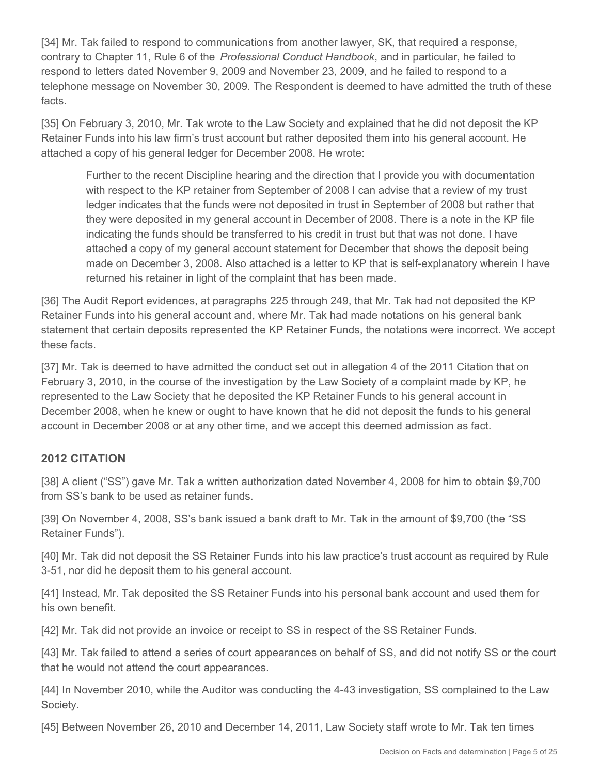[34] Mr. Tak failed to respond to communications from another lawyer, SK, that required a response, contrary to Chapter 11, Rule 6 of the *Professional Conduct Handbook*, and in particular, he failed to respond to letters dated November 9, 2009 and November 23, 2009, and he failed to respond to a telephone message on November 30, 2009. The Respondent is deemed to have admitted the truth of these facts.

[35] On February 3, 2010, Mr. Tak wrote to the Law Society and explained that he did not deposit the KP Retainer Funds into his law firm's trust account but rather deposited them into his general account. He attached a copy of his general ledger for December 2008. He wrote:

Further to the recent Discipline hearing and the direction that I provide you with documentation with respect to the KP retainer from September of 2008 I can advise that a review of my trust ledger indicates that the funds were not deposited in trust in September of 2008 but rather that they were deposited in my general account in December of 2008. There is a note in the KP file indicating the funds should be transferred to his credit in trust but that was not done. I have attached a copy of my general account statement for December that shows the deposit being made on December 3, 2008. Also attached is a letter to KP that is self-explanatory wherein I have returned his retainer in light of the complaint that has been made.

[36] The Audit Report evidences, at paragraphs 225 through 249, that Mr. Tak had not deposited the KP Retainer Funds into his general account and, where Mr. Tak had made notations on his general bank statement that certain deposits represented the KP Retainer Funds, the notations were incorrect. We accept these facts.

[37] Mr. Tak is deemed to have admitted the conduct set out in allegation 4 of the 2011 Citation that on February 3, 2010, in the course of the investigation by the Law Society of a complaint made by KP, he represented to the Law Society that he deposited the KP Retainer Funds to his general account in December 2008, when he knew or ought to have known that he did not deposit the funds to his general account in December 2008 or at any other time, and we accept this deemed admission as fact.

## **2012 CITATION**

[38] A client ("SS") gave Mr. Tak a written authorization dated November 4, 2008 for him to obtain \$9,700 from SS's bank to be used as retainer funds.

[39] On November 4, 2008, SS's bank issued a bank draft to Mr. Tak in the amount of \$9,700 (the "SS Retainer Funds").

[40] Mr. Tak did not deposit the SS Retainer Funds into his law practice's trust account as required by Rule 3-51, nor did he deposit them to his general account.

[41] Instead, Mr. Tak deposited the SS Retainer Funds into his personal bank account and used them for his own benefit.

[42] Mr. Tak did not provide an invoice or receipt to SS in respect of the SS Retainer Funds.

[43] Mr. Tak failed to attend a series of court appearances on behalf of SS, and did not notify SS or the court that he would not attend the court appearances.

[44] In November 2010, while the Auditor was conducting the 4-43 investigation, SS complained to the Law Society.

[45] Between November 26, 2010 and December 14, 2011, Law Society staff wrote to Mr. Tak ten times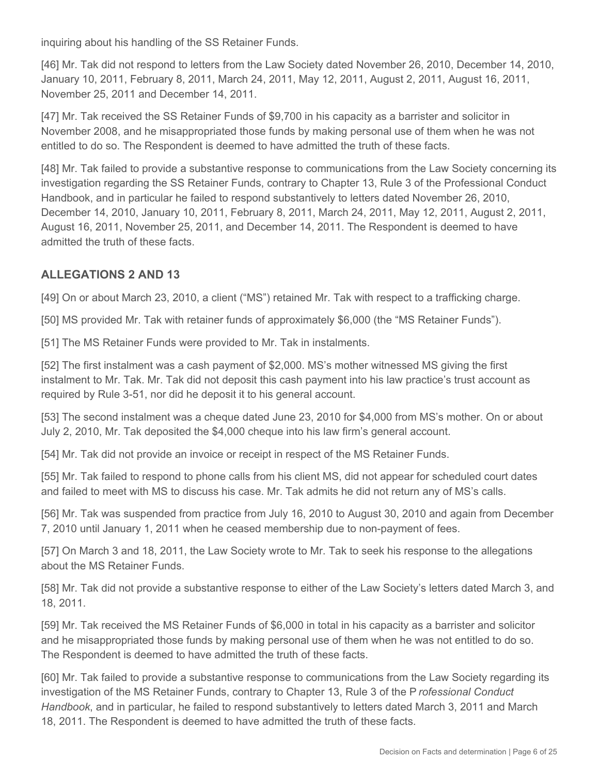inquiring about his handling of the SS Retainer Funds.

[46] Mr. Tak did not respond to letters from the Law Society dated November 26, 2010, December 14, 2010, January 10, 2011, February 8, 2011, March 24, 2011, May 12, 2011, August 2, 2011, August 16, 2011, November 25, 2011 and December 14, 2011.

[47] Mr. Tak received the SS Retainer Funds of \$9,700 in his capacity as a barrister and solicitor in November 2008, and he misappropriated those funds by making personal use of them when he was not entitled to do so. The Respondent is deemed to have admitted the truth of these facts.

[48] Mr. Tak failed to provide a substantive response to communications from the Law Society concerning its investigation regarding the SS Retainer Funds, contrary to Chapter 13, Rule 3 of the Professional Conduct Handbook, and in particular he failed to respond substantively to letters dated November 26, 2010, December 14, 2010, January 10, 2011, February 8, 2011, March 24, 2011, May 12, 2011, August 2, 2011, August 16, 2011, November 25, 2011, and December 14, 2011. The Respondent is deemed to have admitted the truth of these facts.

#### **ALLEGATIONS 2 AND 13**

[49] On or about March 23, 2010, a client ("MS") retained Mr. Tak with respect to a trafficking charge.

[50] MS provided Mr. Tak with retainer funds of approximately \$6,000 (the "MS Retainer Funds").

[51] The MS Retainer Funds were provided to Mr. Tak in instalments.

[52] The first instalment was a cash payment of \$2,000. MS's mother witnessed MS giving the first instalment to Mr. Tak. Mr. Tak did not deposit this cash payment into his law practice's trust account as required by Rule 3-51, nor did he deposit it to his general account.

[53] The second instalment was a cheque dated June 23, 2010 for \$4,000 from MS's mother. On or about July 2, 2010, Mr. Tak deposited the \$4,000 cheque into his law firm's general account.

[54] Mr. Tak did not provide an invoice or receipt in respect of the MS Retainer Funds.

[55] Mr. Tak failed to respond to phone calls from his client MS, did not appear for scheduled court dates and failed to meet with MS to discuss his case. Mr. Tak admits he did not return any of MS's calls.

[56] Mr. Tak was suspended from practice from July 16, 2010 to August 30, 2010 and again from December 7, 2010 until January 1, 2011 when he ceased membership due to non-payment of fees.

[57] On March 3 and 18, 2011, the Law Society wrote to Mr. Tak to seek his response to the allegations about the MS Retainer Funds.

[58] Mr. Tak did not provide a substantive response to either of the Law Society's letters dated March 3, and 18, 2011.

[59] Mr. Tak received the MS Retainer Funds of \$6,000 in total in his capacity as a barrister and solicitor and he misappropriated those funds by making personal use of them when he was not entitled to do so. The Respondent is deemed to have admitted the truth of these facts.

[60] Mr. Tak failed to provide a substantive response to communications from the Law Society regarding its investigation of the MS Retainer Funds, contrary to Chapter 13, Rule 3 of the P *rofessional Conduct Handbook*, and in particular, he failed to respond substantively to letters dated March 3, 2011 and March 18, 2011. The Respondent is deemed to have admitted the truth of these facts.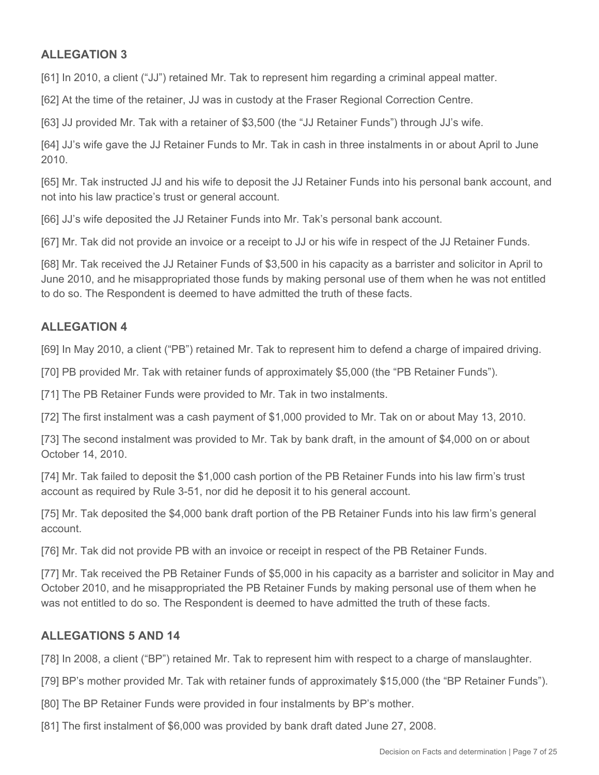## **ALLEGATION 3**

[61] In 2010, a client ("JJ") retained Mr. Tak to represent him regarding a criminal appeal matter.

[62] At the time of the retainer, JJ was in custody at the Fraser Regional Correction Centre.

[63] JJ provided Mr. Tak with a retainer of \$3,500 (the "JJ Retainer Funds") through JJ's wife.

[64] JJ's wife gave the JJ Retainer Funds to Mr. Tak in cash in three instalments in or about April to June 2010.

[65] Mr. Tak instructed JJ and his wife to deposit the JJ Retainer Funds into his personal bank account, and not into his law practice's trust or general account.

[66] JJ's wife deposited the JJ Retainer Funds into Mr. Tak's personal bank account.

[67] Mr. Tak did not provide an invoice or a receipt to JJ or his wife in respect of the JJ Retainer Funds.

[68] Mr. Tak received the JJ Retainer Funds of \$3,500 in his capacity as a barrister and solicitor in April to June 2010, and he misappropriated those funds by making personal use of them when he was not entitled to do so. The Respondent is deemed to have admitted the truth of these facts.

## **ALLEGATION 4**

[69] In May 2010, a client ("PB") retained Mr. Tak to represent him to defend a charge of impaired driving.

[70] PB provided Mr. Tak with retainer funds of approximately \$5,000 (the "PB Retainer Funds").

[71] The PB Retainer Funds were provided to Mr. Tak in two instalments.

[72] The first instalment was a cash payment of \$1,000 provided to Mr. Tak on or about May 13, 2010.

[73] The second instalment was provided to Mr. Tak by bank draft, in the amount of \$4,000 on or about October 14, 2010.

[74] Mr. Tak failed to deposit the \$1,000 cash portion of the PB Retainer Funds into his law firm's trust account as required by Rule 3-51, nor did he deposit it to his general account.

[75] Mr. Tak deposited the \$4,000 bank draft portion of the PB Retainer Funds into his law firm's general account.

[76] Mr. Tak did not provide PB with an invoice or receipt in respect of the PB Retainer Funds.

[77] Mr. Tak received the PB Retainer Funds of \$5,000 in his capacity as a barrister and solicitor in May and October 2010, and he misappropriated the PB Retainer Funds by making personal use of them when he was not entitled to do so. The Respondent is deemed to have admitted the truth of these facts.

#### **ALLEGATIONS 5 AND 14**

[78] In 2008, a client ("BP") retained Mr. Tak to represent him with respect to a charge of manslaughter.

[79] BP's mother provided Mr. Tak with retainer funds of approximately \$15,000 (the "BP Retainer Funds").

- [80] The BP Retainer Funds were provided in four instalments by BP's mother.
- [81] The first instalment of \$6,000 was provided by bank draft dated June 27, 2008.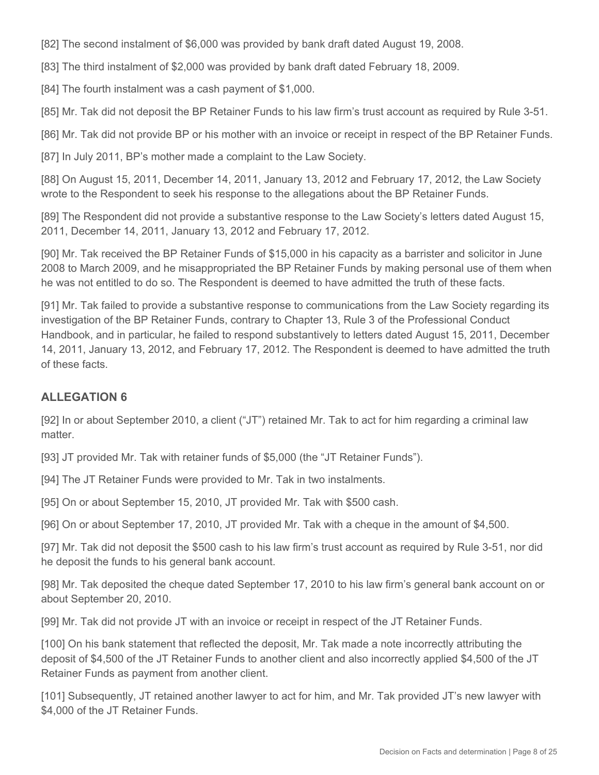[82] The second instalment of \$6,000 was provided by bank draft dated August 19, 2008.

[83] The third instalment of \$2,000 was provided by bank draft dated February 18, 2009.

[84] The fourth instalment was a cash payment of \$1,000.

[85] Mr. Tak did not deposit the BP Retainer Funds to his law firm's trust account as required by Rule 3-51.

[86] Mr. Tak did not provide BP or his mother with an invoice or receipt in respect of the BP Retainer Funds.

[87] In July 2011, BP's mother made a complaint to the Law Society.

[88] On August 15, 2011, December 14, 2011, January 13, 2012 and February 17, 2012, the Law Society wrote to the Respondent to seek his response to the allegations about the BP Retainer Funds.

[89] The Respondent did not provide a substantive response to the Law Society's letters dated August 15, 2011, December 14, 2011, January 13, 2012 and February 17, 2012.

[90] Mr. Tak received the BP Retainer Funds of \$15,000 in his capacity as a barrister and solicitor in June 2008 to March 2009, and he misappropriated the BP Retainer Funds by making personal use of them when he was not entitled to do so. The Respondent is deemed to have admitted the truth of these facts.

[91] Mr. Tak failed to provide a substantive response to communications from the Law Society regarding its investigation of the BP Retainer Funds, contrary to Chapter 13, Rule 3 of the Professional Conduct Handbook, and in particular, he failed to respond substantively to letters dated August 15, 2011, December 14, 2011, January 13, 2012, and February 17, 2012. The Respondent is deemed to have admitted the truth of these facts.

#### **ALLEGATION 6**

[92] In or about September 2010, a client ("JT") retained Mr. Tak to act for him regarding a criminal law matter.

[93] JT provided Mr. Tak with retainer funds of \$5,000 (the "JT Retainer Funds").

[94] The JT Retainer Funds were provided to Mr. Tak in two instalments.

[95] On or about September 15, 2010, JT provided Mr. Tak with \$500 cash.

[96] On or about September 17, 2010, JT provided Mr. Tak with a cheque in the amount of \$4,500.

[97] Mr. Tak did not deposit the \$500 cash to his law firm's trust account as required by Rule 3-51, nor did he deposit the funds to his general bank account.

[98] Mr. Tak deposited the cheque dated September 17, 2010 to his law firm's general bank account on or about September 20, 2010.

[99] Mr. Tak did not provide JT with an invoice or receipt in respect of the JT Retainer Funds.

[100] On his bank statement that reflected the deposit, Mr. Tak made a note incorrectly attributing the deposit of \$4,500 of the JT Retainer Funds to another client and also incorrectly applied \$4,500 of the JT Retainer Funds as payment from another client.

[101] Subsequently, JT retained another lawyer to act for him, and Mr. Tak provided JT's new lawyer with \$4,000 of the JT Retainer Funds.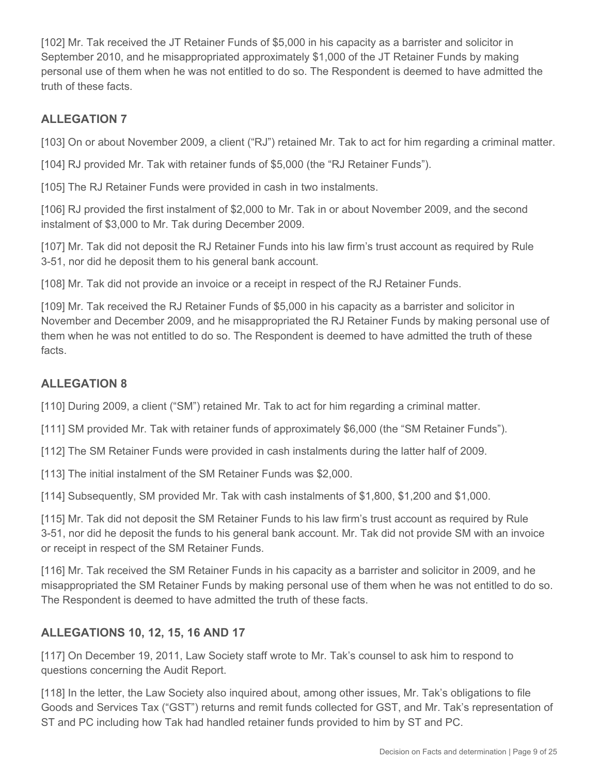[102] Mr. Tak received the JT Retainer Funds of \$5,000 in his capacity as a barrister and solicitor in September 2010, and he misappropriated approximately \$1,000 of the JT Retainer Funds by making personal use of them when he was not entitled to do so. The Respondent is deemed to have admitted the truth of these facts.

# **ALLEGATION 7**

[103] On or about November 2009, a client ("RJ") retained Mr. Tak to act for him regarding a criminal matter.

[104] RJ provided Mr. Tak with retainer funds of \$5,000 (the "RJ Retainer Funds").

[105] The RJ Retainer Funds were provided in cash in two instalments.

[106] RJ provided the first instalment of \$2,000 to Mr. Tak in or about November 2009, and the second instalment of \$3,000 to Mr. Tak during December 2009.

[107] Mr. Tak did not deposit the RJ Retainer Funds into his law firm's trust account as required by Rule 3-51, nor did he deposit them to his general bank account.

[108] Mr. Tak did not provide an invoice or a receipt in respect of the RJ Retainer Funds.

[109] Mr. Tak received the RJ Retainer Funds of \$5,000 in his capacity as a barrister and solicitor in November and December 2009, and he misappropriated the RJ Retainer Funds by making personal use of them when he was not entitled to do so. The Respondent is deemed to have admitted the truth of these facts.

# **ALLEGATION 8**

[110] During 2009, a client ("SM") retained Mr. Tak to act for him regarding a criminal matter.

[111] SM provided Mr. Tak with retainer funds of approximately \$6,000 (the "SM Retainer Funds").

[112] The SM Retainer Funds were provided in cash instalments during the latter half of 2009.

[113] The initial instalment of the SM Retainer Funds was \$2,000.

[114] Subsequently, SM provided Mr. Tak with cash instalments of \$1,800, \$1,200 and \$1,000.

[115] Mr. Tak did not deposit the SM Retainer Funds to his law firm's trust account as required by Rule 3-51, nor did he deposit the funds to his general bank account. Mr. Tak did not provide SM with an invoice or receipt in respect of the SM Retainer Funds.

[116] Mr. Tak received the SM Retainer Funds in his capacity as a barrister and solicitor in 2009, and he misappropriated the SM Retainer Funds by making personal use of them when he was not entitled to do so. The Respondent is deemed to have admitted the truth of these facts.

# **ALLEGATIONS 10, 12, 15, 16 AND 17**

[117] On December 19, 2011, Law Society staff wrote to Mr. Tak's counsel to ask him to respond to questions concerning the Audit Report.

[118] In the letter, the Law Society also inquired about, among other issues, Mr. Tak's obligations to file Goods and Services Tax ("GST") returns and remit funds collected for GST, and Mr. Tak's representation of ST and PC including how Tak had handled retainer funds provided to him by ST and PC.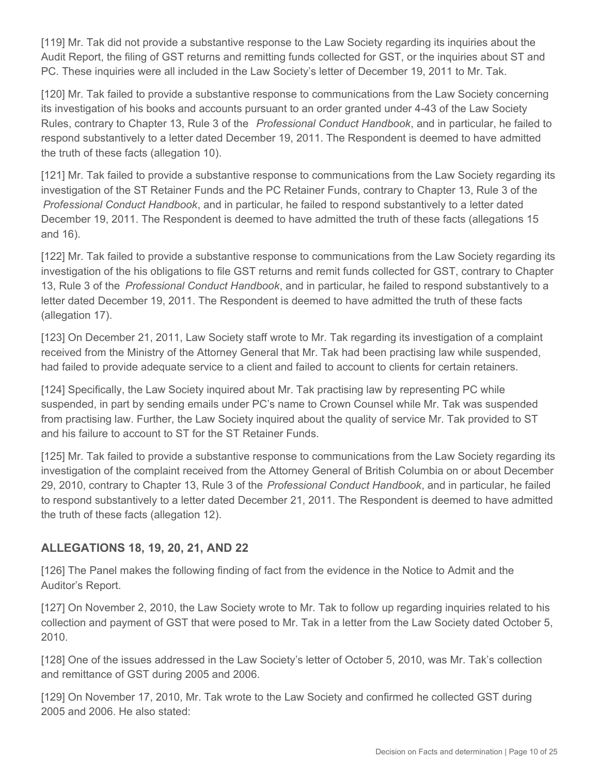[119] Mr. Tak did not provide a substantive response to the Law Society regarding its inquiries about the Audit Report, the filing of GST returns and remitting funds collected for GST, or the inquiries about ST and PC. These inquiries were all included in the Law Society's letter of December 19, 2011 to Mr. Tak.

[120] Mr. Tak failed to provide a substantive response to communications from the Law Society concerning its investigation of his books and accounts pursuant to an order granted under 4-43 of the Law Society Rules, contrary to Chapter 13, Rule 3 of the *Professional Conduct Handbook*, and in particular, he failed to respond substantively to a letter dated December 19, 2011. The Respondent is deemed to have admitted the truth of these facts (allegation 10).

[121] Mr. Tak failed to provide a substantive response to communications from the Law Society regarding its investigation of the ST Retainer Funds and the PC Retainer Funds, contrary to Chapter 13, Rule 3 of the *Professional Conduct Handbook*, and in particular, he failed to respond substantively to a letter dated December 19, 2011. The Respondent is deemed to have admitted the truth of these facts (allegations 15 and 16).

[122] Mr. Tak failed to provide a substantive response to communications from the Law Society regarding its investigation of the his obligations to file GST returns and remit funds collected for GST, contrary to Chapter 13, Rule 3 of the *Professional Conduct Handbook*, and in particular, he failed to respond substantively to a letter dated December 19, 2011. The Respondent is deemed to have admitted the truth of these facts (allegation 17).

[123] On December 21, 2011, Law Society staff wrote to Mr. Tak regarding its investigation of a complaint received from the Ministry of the Attorney General that Mr. Tak had been practising law while suspended, had failed to provide adequate service to a client and failed to account to clients for certain retainers.

[124] Specifically, the Law Society inquired about Mr. Tak practising law by representing PC while suspended, in part by sending emails under PC's name to Crown Counsel while Mr. Tak was suspended from practising law. Further, the Law Society inquired about the quality of service Mr. Tak provided to ST and his failure to account to ST for the ST Retainer Funds.

[125] Mr. Tak failed to provide a substantive response to communications from the Law Society regarding its investigation of the complaint received from the Attorney General of British Columbia on or about December 29, 2010, contrary to Chapter 13, Rule 3 of the *Professional Conduct Handbook*, and in particular, he failed to respond substantively to a letter dated December 21, 2011. The Respondent is deemed to have admitted the truth of these facts (allegation 12).

## **ALLEGATIONS 18, 19, 20, 21, AND 22**

[126] The Panel makes the following finding of fact from the evidence in the Notice to Admit and the Auditor's Report.

[127] On November 2, 2010, the Law Society wrote to Mr. Tak to follow up regarding inquiries related to his collection and payment of GST that were posed to Mr. Tak in a letter from the Law Society dated October 5, 2010.

[128] One of the issues addressed in the Law Society's letter of October 5, 2010, was Mr. Tak's collection and remittance of GST during 2005 and 2006.

[129] On November 17, 2010, Mr. Tak wrote to the Law Society and confirmed he collected GST during 2005 and 2006. He also stated: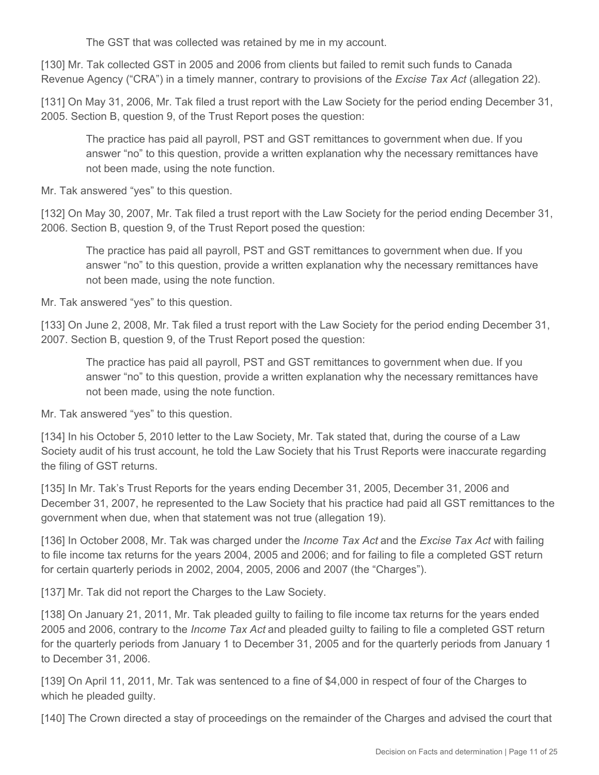The GST that was collected was retained by me in my account.

[130] Mr. Tak collected GST in 2005 and 2006 from clients but failed to remit such funds to Canada Revenue Agency ("CRA") in a timely manner, contrary to provisions of the *Excise Tax Act* (allegation 22).

[131] On May 31, 2006, Mr. Tak filed a trust report with the Law Society for the period ending December 31, 2005. Section B, question 9, of the Trust Report poses the question:

The practice has paid all payroll, PST and GST remittances to government when due. If you answer "no" to this question, provide a written explanation why the necessary remittances have not been made, using the note function.

Mr. Tak answered "yes" to this question.

[132] On May 30, 2007, Mr. Tak filed a trust report with the Law Society for the period ending December 31, 2006. Section B, question 9, of the Trust Report posed the question:

The practice has paid all payroll, PST and GST remittances to government when due. If you answer "no" to this question, provide a written explanation why the necessary remittances have not been made, using the note function.

Mr. Tak answered "yes" to this question.

[133] On June 2, 2008, Mr. Tak filed a trust report with the Law Society for the period ending December 31, 2007. Section B, question 9, of the Trust Report posed the question:

The practice has paid all payroll, PST and GST remittances to government when due. If you answer "no" to this question, provide a written explanation why the necessary remittances have not been made, using the note function.

Mr. Tak answered "yes" to this question.

[134] In his October 5, 2010 letter to the Law Society, Mr. Tak stated that, during the course of a Law Society audit of his trust account, he told the Law Society that his Trust Reports were inaccurate regarding the filing of GST returns.

[135] In Mr. Tak's Trust Reports for the years ending December 31, 2005, December 31, 2006 and December 31, 2007, he represented to the Law Society that his practice had paid all GST remittances to the government when due, when that statement was not true (allegation 19).

[136] In October 2008, Mr. Tak was charged under the *Income Tax Act* and the *Excise Tax Act* with failing to file income tax returns for the years 2004, 2005 and 2006; and for failing to file a completed GST return for certain quarterly periods in 2002, 2004, 2005, 2006 and 2007 (the "Charges").

[137] Mr. Tak did not report the Charges to the Law Society.

[138] On January 21, 2011, Mr. Tak pleaded guilty to failing to file income tax returns for the years ended 2005 and 2006, contrary to the *Income Tax Act* and pleaded guilty to failing to file a completed GST return for the quarterly periods from January 1 to December 31, 2005 and for the quarterly periods from January 1 to December 31, 2006.

[139] On April 11, 2011, Mr. Tak was sentenced to a fine of \$4,000 in respect of four of the Charges to which he pleaded guilty.

[140] The Crown directed a stay of proceedings on the remainder of the Charges and advised the court that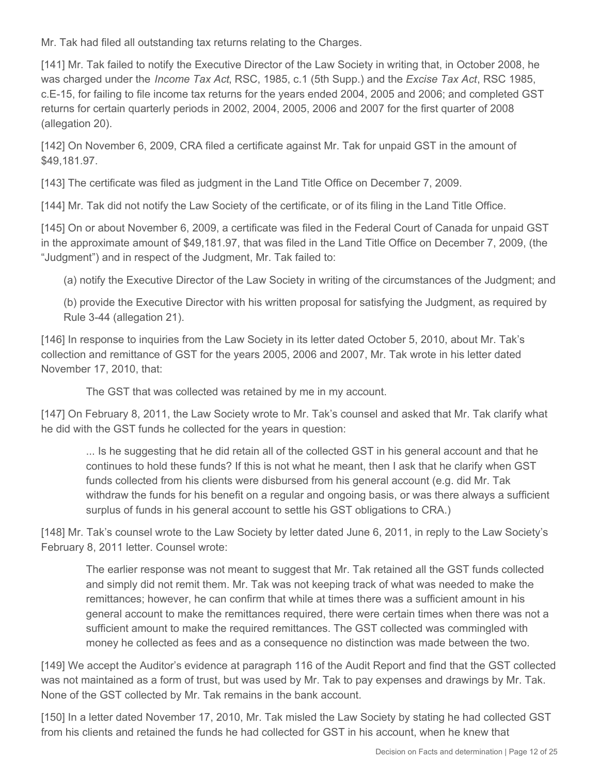Mr. Tak had filed all outstanding tax returns relating to the Charges.

[141] Mr. Tak failed to notify the Executive Director of the Law Society in writing that, in October 2008, he was charged under the *Income Tax Act*, RSC, 1985, c.1 (5th Supp.) and the *Excise Tax Act*, RSC 1985, c.E-15, for failing to file income tax returns for the years ended 2004, 2005 and 2006; and completed GST returns for certain quarterly periods in 2002, 2004, 2005, 2006 and 2007 for the first quarter of 2008 (allegation 20).

[142] On November 6, 2009, CRA filed a certificate against Mr. Tak for unpaid GST in the amount of \$49,181.97.

[143] The certificate was filed as judgment in the Land Title Office on December 7, 2009.

[144] Mr. Tak did not notify the Law Society of the certificate, or of its filing in the Land Title Office.

[145] On or about November 6, 2009, a certificate was filed in the Federal Court of Canada for unpaid GST in the approximate amount of \$49,181.97, that was filed in the Land Title Office on December 7, 2009, (the "Judgment") and in respect of the Judgment, Mr. Tak failed to:

(a) notify the Executive Director of the Law Society in writing of the circumstances of the Judgment; and

(b) provide the Executive Director with his written proposal for satisfying the Judgment, as required by Rule 3-44 (allegation 21).

[146] In response to inquiries from the Law Society in its letter dated October 5, 2010, about Mr. Tak's collection and remittance of GST for the years 2005, 2006 and 2007, Mr. Tak wrote in his letter dated November 17, 2010, that:

The GST that was collected was retained by me in my account.

[147] On February 8, 2011, the Law Society wrote to Mr. Tak's counsel and asked that Mr. Tak clarify what he did with the GST funds he collected for the years in question:

... Is he suggesting that he did retain all of the collected GST in his general account and that he continues to hold these funds? If this is not what he meant, then I ask that he clarify when GST funds collected from his clients were disbursed from his general account (e.g. did Mr. Tak withdraw the funds for his benefit on a regular and ongoing basis, or was there always a sufficient surplus of funds in his general account to settle his GST obligations to CRA.)

[148] Mr. Tak's counsel wrote to the Law Society by letter dated June 6, 2011, in reply to the Law Society's February 8, 2011 letter. Counsel wrote:

The earlier response was not meant to suggest that Mr. Tak retained all the GST funds collected and simply did not remit them. Mr. Tak was not keeping track of what was needed to make the remittances; however, he can confirm that while at times there was a sufficient amount in his general account to make the remittances required, there were certain times when there was not a sufficient amount to make the required remittances. The GST collected was commingled with money he collected as fees and as a consequence no distinction was made between the two.

[149] We accept the Auditor's evidence at paragraph 116 of the Audit Report and find that the GST collected was not maintained as a form of trust, but was used by Mr. Tak to pay expenses and drawings by Mr. Tak. None of the GST collected by Mr. Tak remains in the bank account.

[150] In a letter dated November 17, 2010, Mr. Tak misled the Law Society by stating he had collected GST from his clients and retained the funds he had collected for GST in his account, when he knew that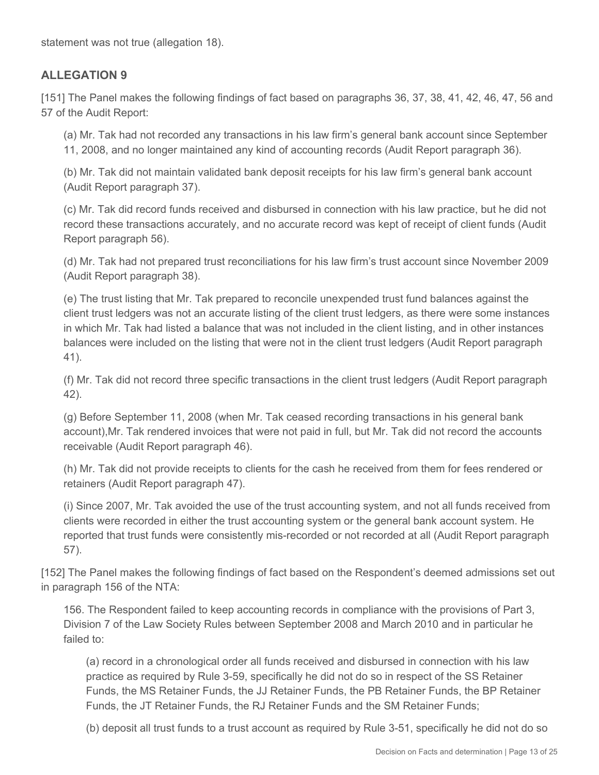statement was not true (allegation 18).

#### **ALLEGATION 9**

[151] The Panel makes the following findings of fact based on paragraphs 36, 37, 38, 41, 42, 46, 47, 56 and 57 of the Audit Report:

(a) Mr. Tak had not recorded any transactions in his law firm's general bank account since September 11, 2008, and no longer maintained any kind of accounting records (Audit Report paragraph 36).

(b) Mr. Tak did not maintain validated bank deposit receipts for his law firm's general bank account (Audit Report paragraph 37).

(c) Mr. Tak did record funds received and disbursed in connection with his law practice, but he did not record these transactions accurately, and no accurate record was kept of receipt of client funds (Audit Report paragraph 56).

(d) Mr. Tak had not prepared trust reconciliations for his law firm's trust account since November 2009 (Audit Report paragraph 38).

(e) The trust listing that Mr. Tak prepared to reconcile unexpended trust fund balances against the client trust ledgers was not an accurate listing of the client trust ledgers, as there were some instances in which Mr. Tak had listed a balance that was not included in the client listing, and in other instances balances were included on the listing that were not in the client trust ledgers (Audit Report paragraph 41).

(f) Mr. Tak did not record three specific transactions in the client trust ledgers (Audit Report paragraph 42).

(g) Before September 11, 2008 (when Mr. Tak ceased recording transactions in his general bank account),Mr. Tak rendered invoices that were not paid in full, but Mr. Tak did not record the accounts receivable (Audit Report paragraph 46).

(h) Mr. Tak did not provide receipts to clients for the cash he received from them for fees rendered or retainers (Audit Report paragraph 47).

(i) Since 2007, Mr. Tak avoided the use of the trust accounting system, and not all funds received from clients were recorded in either the trust accounting system or the general bank account system. He reported that trust funds were consistently mis-recorded or not recorded at all (Audit Report paragraph 57).

[152] The Panel makes the following findings of fact based on the Respondent's deemed admissions set out in paragraph 156 of the NTA:

156. The Respondent failed to keep accounting records in compliance with the provisions of Part 3, Division 7 of the Law Society Rules between September 2008 and March 2010 and in particular he failed to:

(a) record in a chronological order all funds received and disbursed in connection with his law practice as required by Rule 3-59, specifically he did not do so in respect of the SS Retainer Funds, the MS Retainer Funds, the JJ Retainer Funds, the PB Retainer Funds, the BP Retainer Funds, the JT Retainer Funds, the RJ Retainer Funds and the SM Retainer Funds;

(b) deposit all trust funds to a trust account as required by Rule 3-51, specifically he did not do so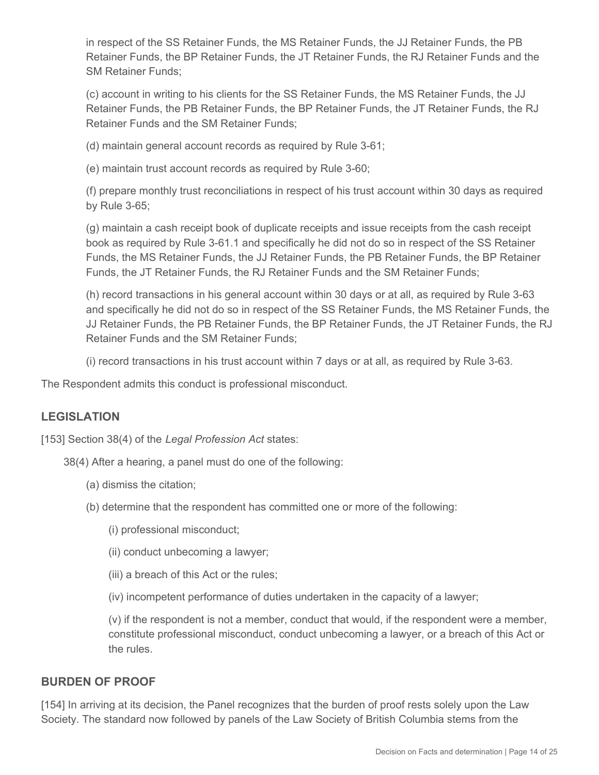in respect of the SS Retainer Funds, the MS Retainer Funds, the JJ Retainer Funds, the PB Retainer Funds, the BP Retainer Funds, the JT Retainer Funds, the RJ Retainer Funds and the SM Retainer Funds;

(c) account in writing to his clients for the SS Retainer Funds, the MS Retainer Funds, the JJ Retainer Funds, the PB Retainer Funds, the BP Retainer Funds, the JT Retainer Funds, the RJ Retainer Funds and the SM Retainer Funds;

(d) maintain general account records as required by Rule 3-61;

(e) maintain trust account records as required by Rule 3-60;

(f) prepare monthly trust reconciliations in respect of his trust account within 30 days as required by Rule 3-65;

(g) maintain a cash receipt book of duplicate receipts and issue receipts from the cash receipt book as required by Rule 3-61.1 and specifically he did not do so in respect of the SS Retainer Funds, the MS Retainer Funds, the JJ Retainer Funds, the PB Retainer Funds, the BP Retainer Funds, the JT Retainer Funds, the RJ Retainer Funds and the SM Retainer Funds;

(h) record transactions in his general account within 30 days or at all, as required by Rule 3-63 and specifically he did not do so in respect of the SS Retainer Funds, the MS Retainer Funds, the JJ Retainer Funds, the PB Retainer Funds, the BP Retainer Funds, the JT Retainer Funds, the RJ Retainer Funds and the SM Retainer Funds;

(i) record transactions in his trust account within 7 days or at all, as required by Rule 3-63.

The Respondent admits this conduct is professional misconduct.

#### **LEGISLATION**

[153] Section 38(4) of the *Legal Profession Act* states:

38(4) After a hearing, a panel must do one of the following:

- (a) dismiss the citation;
- (b) determine that the respondent has committed one or more of the following:
	- (i) professional misconduct;
	- (ii) conduct unbecoming a lawyer;
	- (iii) a breach of this Act or the rules;
	- (iv) incompetent performance of duties undertaken in the capacity of a lawyer;

(v) if the respondent is not a member, conduct that would, if the respondent were a member, constitute professional misconduct, conduct unbecoming a lawyer, or a breach of this Act or the rules.

#### **BURDEN OF PROOF**

[154] In arriving at its decision, the Panel recognizes that the burden of proof rests solely upon the Law Society. The standard now followed by panels of the Law Society of British Columbia stems from the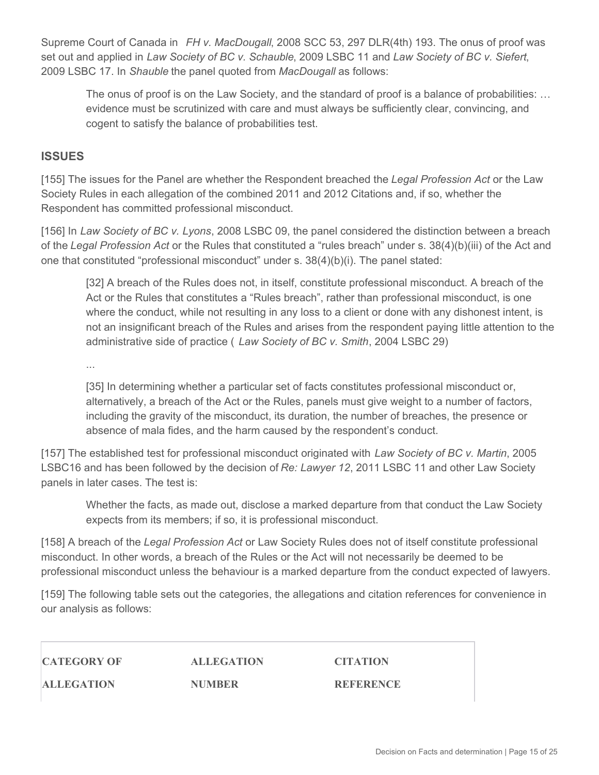Supreme Court of Canada in *FH v. MacDougall*, 2008 SCC 53, 297 DLR(4th) 193. The onus of proof was set out and applied in *Law Society of BC v. Schauble*, 2009 LSBC 11 and *Law Society of BC v. Siefert*, 2009 LSBC 17. In *Shauble* the panel quoted from *MacDougall* as follows:

The onus of proof is on the Law Society, and the standard of proof is a balance of probabilities: ... evidence must be scrutinized with care and must always be sufficiently clear, convincing, and cogent to satisfy the balance of probabilities test.

#### **ISSUES**

[155] The issues for the Panel are whether the Respondent breached the *Legal Profession Act* or the Law Society Rules in each allegation of the combined 2011 and 2012 Citations and, if so, whether the Respondent has committed professional misconduct.

[156] In *Law Society of BC v. Lyons*, 2008 LSBC 09, the panel considered the distinction between a breach of the *Legal Profession Act* or the Rules that constituted a "rules breach" under s. 38(4)(b)(iii) of the Act and one that constituted "professional misconduct" under s. 38(4)(b)(i). The panel stated:

[32] A breach of the Rules does not, in itself, constitute professional misconduct. A breach of the Act or the Rules that constitutes a "Rules breach", rather than professional misconduct, is one where the conduct, while not resulting in any loss to a client or done with any dishonest intent, is not an insignificant breach of the Rules and arises from the respondent paying little attention to the administrative side of practice ( *Law Society of BC v. Smith*, 2004 LSBC 29)

...

[35] In determining whether a particular set of facts constitutes professional misconduct or, alternatively, a breach of the Act or the Rules, panels must give weight to a number of factors, including the gravity of the misconduct, its duration, the number of breaches, the presence or absence of mala fides, and the harm caused by the respondent's conduct.

[157] The established test for professional misconduct originated with *Law Society of BC v. Martin*, 2005 LSBC16 and has been followed by the decision of *Re: Lawyer 12*, 2011 LSBC 11 and other Law Society panels in later cases. The test is:

Whether the facts, as made out, disclose a marked departure from that conduct the Law Society expects from its members; if so, it is professional misconduct.

[158] A breach of the *Legal Profession Act* or Law Society Rules does not of itself constitute professional misconduct. In other words, a breach of the Rules or the Act will not necessarily be deemed to be professional misconduct unless the behaviour is a marked departure from the conduct expected of lawyers.

[159] The following table sets out the categories, the allegations and citation references for convenience in our analysis as follows:

**CATEGORY OF ALLEGATION**

**ALLEGATION NUMBER**

**CITATION**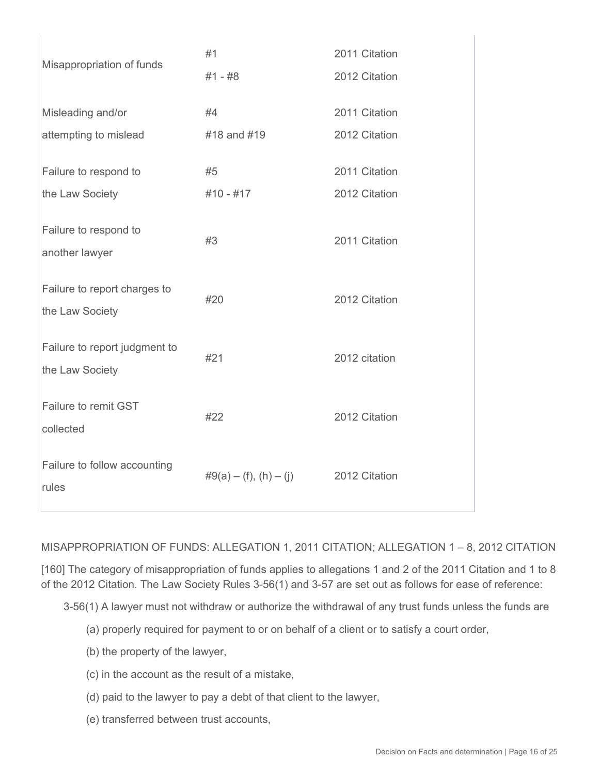| Misappropriation of funds                        | #1                       | 2011 Citation |
|--------------------------------------------------|--------------------------|---------------|
|                                                  | #1 - #8                  | 2012 Citation |
| Misleading and/or                                | #4                       | 2011 Citation |
| attempting to mislead                            | #18 and #19              | 2012 Citation |
| Failure to respond to                            | #5                       | 2011 Citation |
| the Law Society                                  | $#10 - #17$              | 2012 Citation |
| Failure to respond to<br>another lawyer          | #3                       | 2011 Citation |
| Failure to report charges to<br>the Law Society  | #20                      | 2012 Citation |
| Failure to report judgment to<br>the Law Society | #21                      | 2012 citation |
| Failure to remit GST<br>collected                | #22                      | 2012 Citation |
| Failure to follow accounting<br>rules            | $#9(a) - (f), (h) - (j)$ | 2012 Citation |

#### MISAPPROPRIATION OF FUNDS: ALLEGATION 1, 2011 CITATION; ALLEGATION 1 – 8, 2012 CITATION

[160] The category of misappropriation of funds applies to allegations 1 and 2 of the 2011 Citation and 1 to 8 of the 2012 Citation. The Law Society Rules 3-56(1) and 3-57 are set out as follows for ease of reference:

3-56(1) A lawyer must not withdraw or authorize the withdrawal of any trust funds unless the funds are

- (a) properly required for payment to or on behalf of a client or to satisfy a court order,
- (b) the property of the lawyer,

 $\mathbf{L}$ 

- (c) in the account as the result of a mistake,
- (d) paid to the lawyer to pay a debt of that client to the lawyer,
- (e) transferred between trust accounts,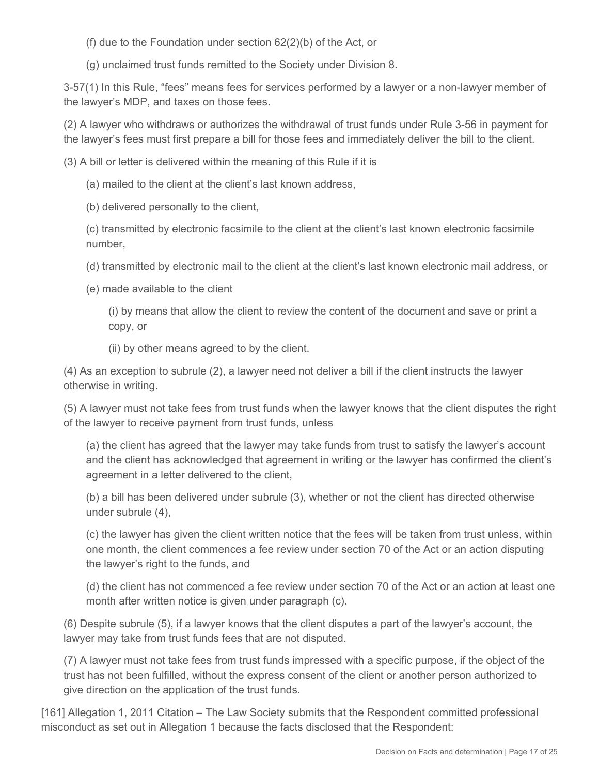(f) due to the Foundation under section 62(2)(b) of the Act, or

(g) unclaimed trust funds remitted to the Society under Division 8.

3-57(1) In this Rule, "fees" means fees for services performed by a lawyer or a non-lawyer member of the lawyer's MDP, and taxes on those fees.

(2) A lawyer who withdraws or authorizes the withdrawal of trust funds under Rule 3-56 in payment for the lawyer's fees must first prepare a bill for those fees and immediately deliver the bill to the client.

(3) A bill or letter is delivered within the meaning of this Rule if it is

(a) mailed to the client at the client's last known address,

(b) delivered personally to the client,

(c) transmitted by electronic facsimile to the client at the client's last known electronic facsimile number,

(d) transmitted by electronic mail to the client at the client's last known electronic mail address, or

(e) made available to the client

(i) by means that allow the client to review the content of the document and save or print a copy, or

(ii) by other means agreed to by the client.

(4) As an exception to subrule (2), a lawyer need not deliver a bill if the client instructs the lawyer otherwise in writing.

(5) A lawyer must not take fees from trust funds when the lawyer knows that the client disputes the right of the lawyer to receive payment from trust funds, unless

(a) the client has agreed that the lawyer may take funds from trust to satisfy the lawyer's account and the client has acknowledged that agreement in writing or the lawyer has confirmed the client's agreement in a letter delivered to the client,

(b) a bill has been delivered under subrule (3), whether or not the client has directed otherwise under subrule (4),

(c) the lawyer has given the client written notice that the fees will be taken from trust unless, within one month, the client commences a fee review under section 70 of the Act or an action disputing the lawyer's right to the funds, and

(d) the client has not commenced a fee review under section 70 of the Act or an action at least one month after written notice is given under paragraph (c).

(6) Despite subrule (5), if a lawyer knows that the client disputes a part of the lawyer's account, the lawyer may take from trust funds fees that are not disputed.

(7) A lawyer must not take fees from trust funds impressed with a specific purpose, if the object of the trust has not been fulfilled, without the express consent of the client or another person authorized to give direction on the application of the trust funds.

[161] Allegation 1, 2011 Citation – The Law Society submits that the Respondent committed professional misconduct as set out in Allegation 1 because the facts disclosed that the Respondent: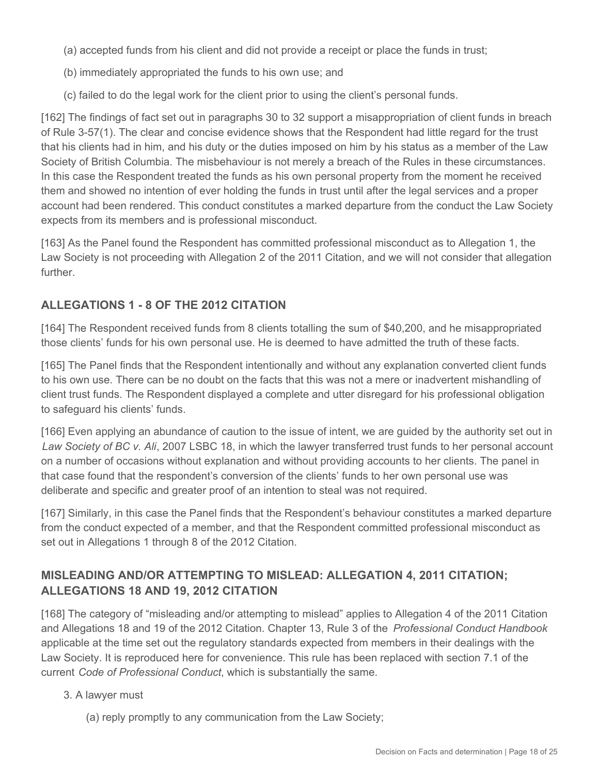(a) accepted funds from his client and did not provide a receipt or place the funds in trust;

- (b) immediately appropriated the funds to his own use; and
- (c) failed to do the legal work for the client prior to using the client's personal funds.

[162] The findings of fact set out in paragraphs 30 to 32 support a misappropriation of client funds in breach of Rule 3-57(1). The clear and concise evidence shows that the Respondent had little regard for the trust that his clients had in him, and his duty or the duties imposed on him by his status as a member of the Law Society of British Columbia. The misbehaviour is not merely a breach of the Rules in these circumstances. In this case the Respondent treated the funds as his own personal property from the moment he received them and showed no intention of ever holding the funds in trust until after the legal services and a proper account had been rendered. This conduct constitutes a marked departure from the conduct the Law Society expects from its members and is professional misconduct.

[163] As the Panel found the Respondent has committed professional misconduct as to Allegation 1, the Law Society is not proceeding with Allegation 2 of the 2011 Citation, and we will not consider that allegation further.

## **ALLEGATIONS 1 - 8 OF THE 2012 CITATION**

[164] The Respondent received funds from 8 clients totalling the sum of \$40,200, and he misappropriated those clients' funds for his own personal use. He is deemed to have admitted the truth of these facts.

[165] The Panel finds that the Respondent intentionally and without any explanation converted client funds to his own use. There can be no doubt on the facts that this was not a mere or inadvertent mishandling of client trust funds. The Respondent displayed a complete and utter disregard for his professional obligation to safeguard his clients' funds.

[166] Even applying an abundance of caution to the issue of intent, we are guided by the authority set out in *Law Society of BC v. Ali*, 2007 LSBC 18, in which the lawyer transferred trust funds to her personal account on a number of occasions without explanation and without providing accounts to her clients. The panel in that case found that the respondent's conversion of the clients' funds to her own personal use was deliberate and specific and greater proof of an intention to steal was not required.

[167] Similarly, in this case the Panel finds that the Respondent's behaviour constitutes a marked departure from the conduct expected of a member, and that the Respondent committed professional misconduct as set out in Allegations 1 through 8 of the 2012 Citation.

# **MISLEADING AND/OR ATTEMPTING TO MISLEAD: ALLEGATION 4, 2011 CITATION; ALLEGATIONS 18 AND 19, 2012 CITATION**

[168] The category of "misleading and/or attempting to mislead" applies to Allegation 4 of the 2011 Citation and Allegations 18 and 19 of the 2012 Citation. Chapter 13, Rule 3 of the *Professional Conduct Handbook*  applicable at the time set out the regulatory standards expected from members in their dealings with the Law Society. It is reproduced here for convenience. This rule has been replaced with section 7.1 of the current *Code of Professional Conduct*, which is substantially the same.

#### 3. A lawyer must

(a) reply promptly to any communication from the Law Society;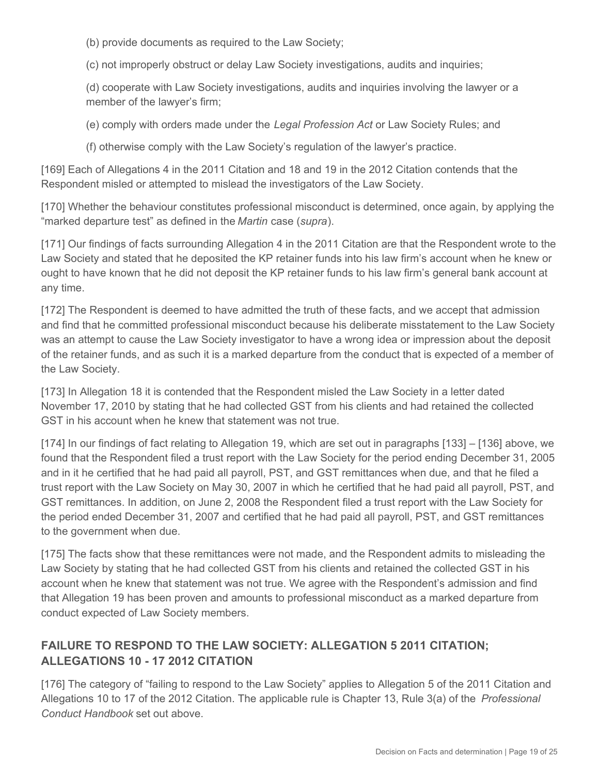(b) provide documents as required to the Law Society;

(c) not improperly obstruct or delay Law Society investigations, audits and inquiries;

(d) cooperate with Law Society investigations, audits and inquiries involving the lawyer or a member of the lawyer's firm;

(e) comply with orders made under the *Legal Profession Act* or Law Society Rules; and

(f) otherwise comply with the Law Society's regulation of the lawyer's practice.

[169] Each of Allegations 4 in the 2011 Citation and 18 and 19 in the 2012 Citation contends that the Respondent misled or attempted to mislead the investigators of the Law Society.

[170] Whether the behaviour constitutes professional misconduct is determined, once again, by applying the "marked departure test" as defined in the *Martin* case (*supra*).

[171] Our findings of facts surrounding Allegation 4 in the 2011 Citation are that the Respondent wrote to the Law Society and stated that he deposited the KP retainer funds into his law firm's account when he knew or ought to have known that he did not deposit the KP retainer funds to his law firm's general bank account at any time.

[172] The Respondent is deemed to have admitted the truth of these facts, and we accept that admission and find that he committed professional misconduct because his deliberate misstatement to the Law Society was an attempt to cause the Law Society investigator to have a wrong idea or impression about the deposit of the retainer funds, and as such it is a marked departure from the conduct that is expected of a member of the Law Society.

[173] In Allegation 18 it is contended that the Respondent misled the Law Society in a letter dated November 17, 2010 by stating that he had collected GST from his clients and had retained the collected GST in his account when he knew that statement was not true.

[174] In our findings of fact relating to Allegation 19, which are set out in paragraphs [133] – [136] above, we found that the Respondent filed a trust report with the Law Society for the period ending December 31, 2005 and in it he certified that he had paid all payroll, PST, and GST remittances when due, and that he filed a trust report with the Law Society on May 30, 2007 in which he certified that he had paid all payroll, PST, and GST remittances. In addition, on June 2, 2008 the Respondent filed a trust report with the Law Society for the period ended December 31, 2007 and certified that he had paid all payroll, PST, and GST remittances to the government when due.

[175] The facts show that these remittances were not made, and the Respondent admits to misleading the Law Society by stating that he had collected GST from his clients and retained the collected GST in his account when he knew that statement was not true. We agree with the Respondent's admission and find that Allegation 19 has been proven and amounts to professional misconduct as a marked departure from conduct expected of Law Society members.

# **FAILURE TO RESPOND TO THE LAW SOCIETY: ALLEGATION 5 2011 CITATION; ALLEGATIONS 10 - 17 2012 CITATION**

[176] The category of "failing to respond to the Law Society" applies to Allegation 5 of the 2011 Citation and Allegations 10 to 17 of the 2012 Citation. The applicable rule is Chapter 13, Rule 3(a) of the *Professional Conduct Handbook* set out above.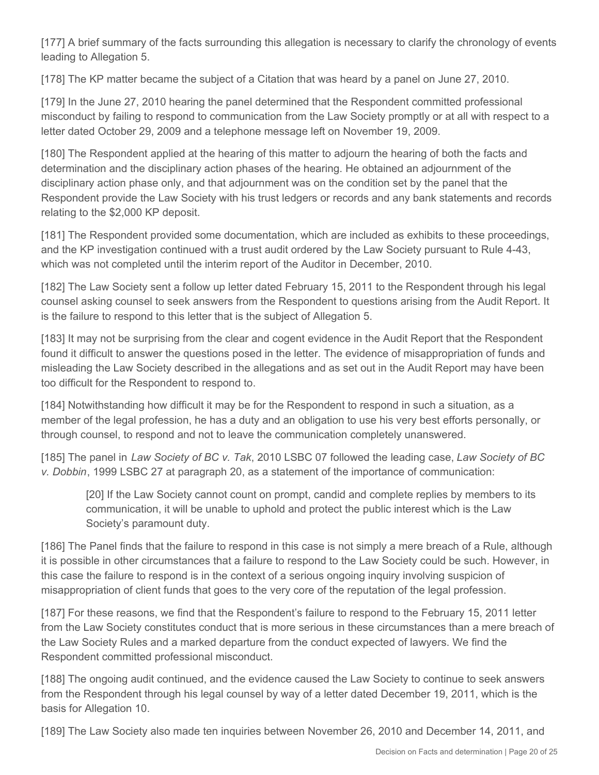[177] A brief summary of the facts surrounding this allegation is necessary to clarify the chronology of events leading to Allegation 5.

[178] The KP matter became the subject of a Citation that was heard by a panel on June 27, 2010.

[179] In the June 27, 2010 hearing the panel determined that the Respondent committed professional misconduct by failing to respond to communication from the Law Society promptly or at all with respect to a letter dated October 29, 2009 and a telephone message left on November 19, 2009.

[180] The Respondent applied at the hearing of this matter to adjourn the hearing of both the facts and determination and the disciplinary action phases of the hearing. He obtained an adjournment of the disciplinary action phase only, and that adjournment was on the condition set by the panel that the Respondent provide the Law Society with his trust ledgers or records and any bank statements and records relating to the \$2,000 KP deposit.

[181] The Respondent provided some documentation, which are included as exhibits to these proceedings, and the KP investigation continued with a trust audit ordered by the Law Society pursuant to Rule 4-43, which was not completed until the interim report of the Auditor in December, 2010.

[182] The Law Society sent a follow up letter dated February 15, 2011 to the Respondent through his legal counsel asking counsel to seek answers from the Respondent to questions arising from the Audit Report. It is the failure to respond to this letter that is the subject of Allegation 5.

[183] It may not be surprising from the clear and cogent evidence in the Audit Report that the Respondent found it difficult to answer the questions posed in the letter. The evidence of misappropriation of funds and misleading the Law Society described in the allegations and as set out in the Audit Report may have been too difficult for the Respondent to respond to.

[184] Notwithstanding how difficult it may be for the Respondent to respond in such a situation, as a member of the legal profession, he has a duty and an obligation to use his very best efforts personally, or through counsel, to respond and not to leave the communication completely unanswered.

[185] The panel in *Law Society of BC v. Tak*, 2010 LSBC 07 followed the leading case, *Law Society of BC v. Dobbin*, 1999 LSBC 27 at paragraph 20, as a statement of the importance of communication:

[20] If the Law Society cannot count on prompt, candid and complete replies by members to its communication, it will be unable to uphold and protect the public interest which is the Law Society's paramount duty.

[186] The Panel finds that the failure to respond in this case is not simply a mere breach of a Rule, although it is possible in other circumstances that a failure to respond to the Law Society could be such. However, in this case the failure to respond is in the context of a serious ongoing inquiry involving suspicion of misappropriation of client funds that goes to the very core of the reputation of the legal profession.

[187] For these reasons, we find that the Respondent's failure to respond to the February 15, 2011 letter from the Law Society constitutes conduct that is more serious in these circumstances than a mere breach of the Law Society Rules and a marked departure from the conduct expected of lawyers. We find the Respondent committed professional misconduct.

[188] The ongoing audit continued, and the evidence caused the Law Society to continue to seek answers from the Respondent through his legal counsel by way of a letter dated December 19, 2011, which is the basis for Allegation 10.

[189] The Law Society also made ten inquiries between November 26, 2010 and December 14, 2011, and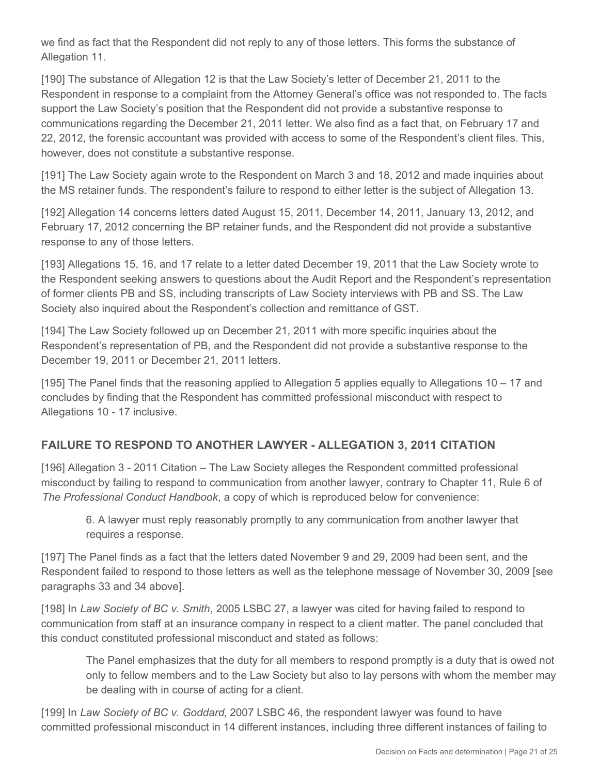we find as fact that the Respondent did not reply to any of those letters. This forms the substance of Allegation 11.

[190] The substance of Allegation 12 is that the Law Society's letter of December 21, 2011 to the Respondent in response to a complaint from the Attorney General's office was not responded to. The facts support the Law Society's position that the Respondent did not provide a substantive response to communications regarding the December 21, 2011 letter. We also find as a fact that, on February 17 and 22, 2012, the forensic accountant was provided with access to some of the Respondent's client files. This, however, does not constitute a substantive response.

[191] The Law Society again wrote to the Respondent on March 3 and 18, 2012 and made inquiries about the MS retainer funds. The respondent's failure to respond to either letter is the subject of Allegation 13.

[192] Allegation 14 concerns letters dated August 15, 2011, December 14, 2011, January 13, 2012, and February 17, 2012 concerning the BP retainer funds, and the Respondent did not provide a substantive response to any of those letters.

[193] Allegations 15, 16, and 17 relate to a letter dated December 19, 2011 that the Law Society wrote to the Respondent seeking answers to questions about the Audit Report and the Respondent's representation of former clients PB and SS, including transcripts of Law Society interviews with PB and SS. The Law Society also inquired about the Respondent's collection and remittance of GST.

[194] The Law Society followed up on December 21, 2011 with more specific inquiries about the Respondent's representation of PB, and the Respondent did not provide a substantive response to the December 19, 2011 or December 21, 2011 letters.

[195] The Panel finds that the reasoning applied to Allegation 5 applies equally to Allegations 10 – 17 and concludes by finding that the Respondent has committed professional misconduct with respect to Allegations 10 - 17 inclusive.

## **FAILURE TO RESPOND TO ANOTHER LAWYER - ALLEGATION 3, 2011 CITATION**

[196] Allegation 3 - 2011 Citation – The Law Society alleges the Respondent committed professional misconduct by failing to respond to communication from another lawyer, contrary to Chapter 11, Rule 6 of *The Professional Conduct Handbook*, a copy of which is reproduced below for convenience:

6. A lawyer must reply reasonably promptly to any communication from another lawyer that requires a response.

[197] The Panel finds as a fact that the letters dated November 9 and 29, 2009 had been sent, and the Respondent failed to respond to those letters as well as the telephone message of November 30, 2009 [see paragraphs 33 and 34 above].

[198] In *Law Society of BC v. Smith*, 2005 LSBC 27, a lawyer was cited for having failed to respond to communication from staff at an insurance company in respect to a client matter. The panel concluded that this conduct constituted professional misconduct and stated as follows:

The Panel emphasizes that the duty for all members to respond promptly is a duty that is owed not only to fellow members and to the Law Society but also to lay persons with whom the member may be dealing with in course of acting for a client.

[199] In *Law Society of BC v. Goddard*, 2007 LSBC 46, the respondent lawyer was found to have committed professional misconduct in 14 different instances, including three different instances of failing to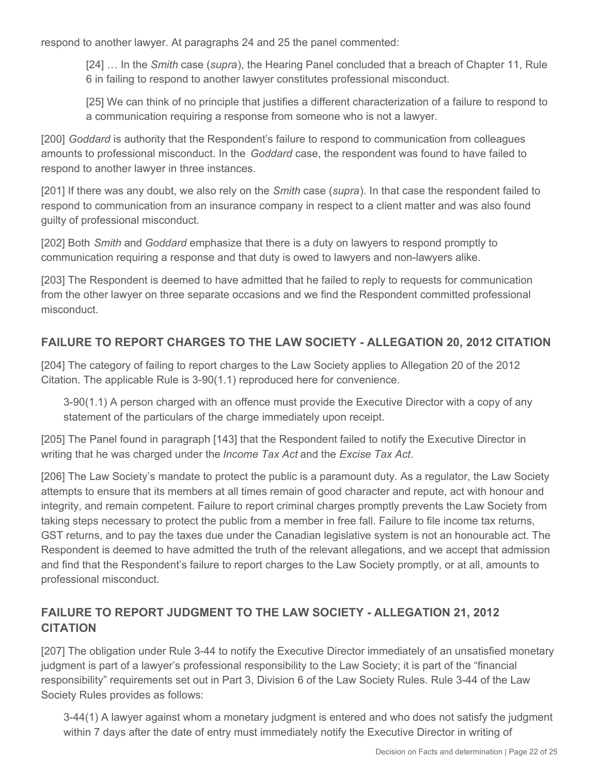respond to another lawyer. At paragraphs 24 and 25 the panel commented:

[24] … In the *Smith* case (*supra*), the Hearing Panel concluded that a breach of Chapter 11, Rule 6 in failing to respond to another lawyer constitutes professional misconduct.

[25] We can think of no principle that justifies a different characterization of a failure to respond to a communication requiring a response from someone who is not a lawyer.

[200] *Goddard* is authority that the Respondent's failure to respond to communication from colleagues amounts to professional misconduct. In the *Goddard* case, the respondent was found to have failed to respond to another lawyer in three instances.

[201] If there was any doubt, we also rely on the *Smith* case (*supra*). In that case the respondent failed to respond to communication from an insurance company in respect to a client matter and was also found guilty of professional misconduct.

[202] Both *Smith* and *Goddard* emphasize that there is a duty on lawyers to respond promptly to communication requiring a response and that duty is owed to lawyers and non-lawyers alike.

[203] The Respondent is deemed to have admitted that he failed to reply to requests for communication from the other lawyer on three separate occasions and we find the Respondent committed professional misconduct.

## **FAILURE TO REPORT CHARGES TO THE LAW SOCIETY - ALLEGATION 20, 2012 CITATION**

[204] The category of failing to report charges to the Law Society applies to Allegation 20 of the 2012 Citation. The applicable Rule is 3-90(1.1) reproduced here for convenience.

3-90(1.1) A person charged with an offence must provide the Executive Director with a copy of any statement of the particulars of the charge immediately upon receipt.

[205] The Panel found in paragraph [143] that the Respondent failed to notify the Executive Director in writing that he was charged under the *Income Tax Act* and the *Excise Tax Act*.

[206] The Law Society's mandate to protect the public is a paramount duty. As a regulator, the Law Society attempts to ensure that its members at all times remain of good character and repute, act with honour and integrity, and remain competent. Failure to report criminal charges promptly prevents the Law Society from taking steps necessary to protect the public from a member in free fall. Failure to file income tax returns, GST returns, and to pay the taxes due under the Canadian legislative system is not an honourable act. The Respondent is deemed to have admitted the truth of the relevant allegations, and we accept that admission and find that the Respondent's failure to report charges to the Law Society promptly, or at all, amounts to professional misconduct.

## **FAILURE TO REPORT JUDGMENT TO THE LAW SOCIETY - ALLEGATION 21, 2012 CITATION**

[207] The obligation under Rule 3-44 to notify the Executive Director immediately of an unsatisfied monetary judgment is part of a lawyer's professional responsibility to the Law Society; it is part of the "financial responsibility" requirements set out in Part 3, Division 6 of the Law Society Rules. Rule 3-44 of the Law Society Rules provides as follows:

3-44(1) A lawyer against whom a monetary judgment is entered and who does not satisfy the judgment within 7 days after the date of entry must immediately notify the Executive Director in writing of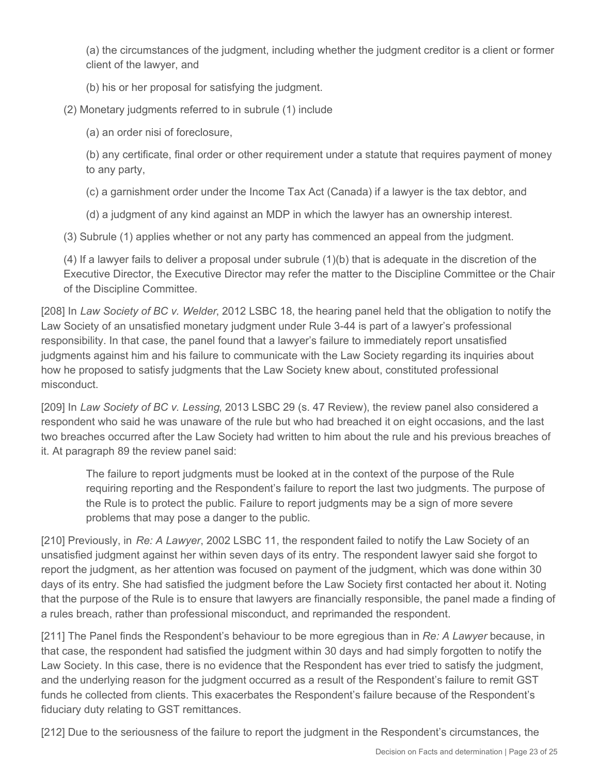(a) the circumstances of the judgment, including whether the judgment creditor is a client or former client of the lawyer, and

(b) his or her proposal for satisfying the judgment.

(2) Monetary judgments referred to in subrule (1) include

(a) an order nisi of foreclosure,

(b) any certificate, final order or other requirement under a statute that requires payment of money to any party,

(c) a garnishment order under the Income Tax Act (Canada) if a lawyer is the tax debtor, and

(d) a judgment of any kind against an MDP in which the lawyer has an ownership interest.

(3) Subrule (1) applies whether or not any party has commenced an appeal from the judgment.

(4) If a lawyer fails to deliver a proposal under subrule (1)(b) that is adequate in the discretion of the Executive Director, the Executive Director may refer the matter to the Discipline Committee or the Chair of the Discipline Committee.

[208] In *Law Society of BC v. Welder*, 2012 LSBC 18, the hearing panel held that the obligation to notify the Law Society of an unsatisfied monetary judgment under Rule 3-44 is part of a lawyer's professional responsibility. In that case, the panel found that a lawyer's failure to immediately report unsatisfied judgments against him and his failure to communicate with the Law Society regarding its inquiries about how he proposed to satisfy judgments that the Law Society knew about, constituted professional misconduct.

[209] In *Law Society of BC v. Lessing*, 2013 LSBC 29 (s. 47 Review), the review panel also considered a respondent who said he was unaware of the rule but who had breached it on eight occasions, and the last two breaches occurred after the Law Society had written to him about the rule and his previous breaches of it. At paragraph 89 the review panel said:

The failure to report judgments must be looked at in the context of the purpose of the Rule requiring reporting and the Respondent's failure to report the last two judgments. The purpose of the Rule is to protect the public. Failure to report judgments may be a sign of more severe problems that may pose a danger to the public.

[210] Previously, in *Re: A Lawyer*, 2002 LSBC 11, the respondent failed to notify the Law Society of an unsatisfied judgment against her within seven days of its entry. The respondent lawyer said she forgot to report the judgment, as her attention was focused on payment of the judgment, which was done within 30 days of its entry. She had satisfied the judgment before the Law Society first contacted her about it. Noting that the purpose of the Rule is to ensure that lawyers are financially responsible, the panel made a finding of a rules breach, rather than professional misconduct, and reprimanded the respondent.

[211] The Panel finds the Respondent's behaviour to be more egregious than in *Re: A Lawyer* because, in that case, the respondent had satisfied the judgment within 30 days and had simply forgotten to notify the Law Society. In this case, there is no evidence that the Respondent has ever tried to satisfy the judgment, and the underlying reason for the judgment occurred as a result of the Respondent's failure to remit GST funds he collected from clients. This exacerbates the Respondent's failure because of the Respondent's fiduciary duty relating to GST remittances.

[212] Due to the seriousness of the failure to report the judgment in the Respondent's circumstances, the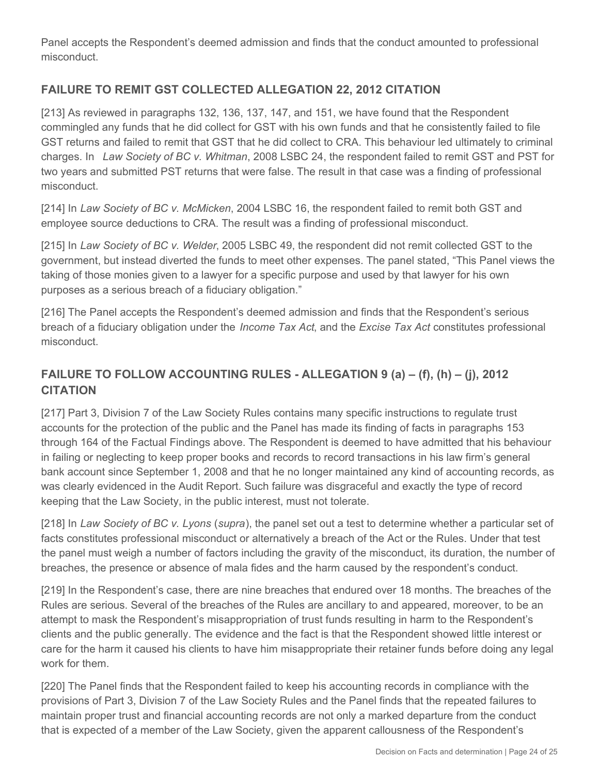Panel accepts the Respondent's deemed admission and finds that the conduct amounted to professional misconduct.

# **FAILURE TO REMIT GST COLLECTED ALLEGATION 22, 2012 CITATION**

[213] As reviewed in paragraphs 132, 136, 137, 147, and 151, we have found that the Respondent commingled any funds that he did collect for GST with his own funds and that he consistently failed to file GST returns and failed to remit that GST that he did collect to CRA. This behaviour led ultimately to criminal charges. In *Law Society of BC v. Whitman*, 2008 LSBC 24, the respondent failed to remit GST and PST for two years and submitted PST returns that were false. The result in that case was a finding of professional misconduct.

[214] In *Law Society of BC v. McMicken*, 2004 LSBC 16, the respondent failed to remit both GST and employee source deductions to CRA. The result was a finding of professional misconduct.

[215] In *Law Society of BC v. Welder*, 2005 LSBC 49, the respondent did not remit collected GST to the government, but instead diverted the funds to meet other expenses. The panel stated, "This Panel views the taking of those monies given to a lawyer for a specific purpose and used by that lawyer for his own purposes as a serious breach of a fiduciary obligation."

[216] The Panel accepts the Respondent's deemed admission and finds that the Respondent's serious breach of a fiduciary obligation under the *Income Tax Act*, and the *Excise Tax Act* constitutes professional misconduct.

# **FAILURE TO FOLLOW ACCOUNTING RULES - ALLEGATION 9 (a) – (f), (h) – (j), 2012 CITATION**

[217] Part 3, Division 7 of the Law Society Rules contains many specific instructions to regulate trust accounts for the protection of the public and the Panel has made its finding of facts in paragraphs 153 through 164 of the Factual Findings above. The Respondent is deemed to have admitted that his behaviour in failing or neglecting to keep proper books and records to record transactions in his law firm's general bank account since September 1, 2008 and that he no longer maintained any kind of accounting records, as was clearly evidenced in the Audit Report. Such failure was disgraceful and exactly the type of record keeping that the Law Society, in the public interest, must not tolerate.

[218] In *Law Society of BC v. Lyons* (*supra*), the panel set out a test to determine whether a particular set of facts constitutes professional misconduct or alternatively a breach of the Act or the Rules. Under that test the panel must weigh a number of factors including the gravity of the misconduct, its duration, the number of breaches, the presence or absence of mala fides and the harm caused by the respondent's conduct.

[219] In the Respondent's case, there are nine breaches that endured over 18 months. The breaches of the Rules are serious. Several of the breaches of the Rules are ancillary to and appeared, moreover, to be an attempt to mask the Respondent's misappropriation of trust funds resulting in harm to the Respondent's clients and the public generally. The evidence and the fact is that the Respondent showed little interest or care for the harm it caused his clients to have him misappropriate their retainer funds before doing any legal work for them.

[220] The Panel finds that the Respondent failed to keep his accounting records in compliance with the provisions of Part 3, Division 7 of the Law Society Rules and the Panel finds that the repeated failures to maintain proper trust and financial accounting records are not only a marked departure from the conduct that is expected of a member of the Law Society, given the apparent callousness of the Respondent's